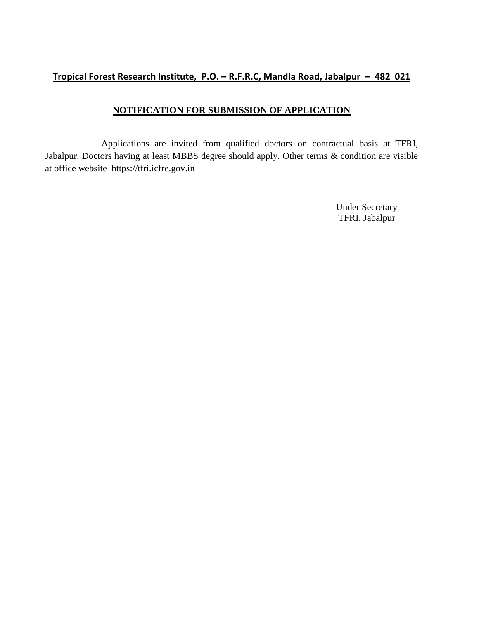## **Tropical Forest Research Institute, P.O. – R.F.R.C, Mandla Road, Jabalpur – 482 021**

## **NOTIFICATION FOR SUBMISSION OF APPLICATION**

Applications are invited from qualified doctors on contractual basis at TFRI, Jabalpur. Doctors having at least MBBS degree should apply. Other terms & condition are visible at office website https://tfri.icfre.gov.in

> Under Secretary TFRI, Jabalpur